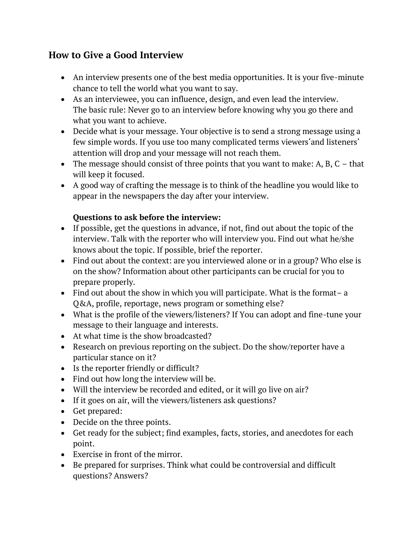## **How to Give a Good Interview**

- An interview presents one of the best media opportunities. It is your five-minute chance to tell the world what you want to say.
- As an interviewee, you can influence, design, and even lead the interview. The basic rule: Never go to an interview before knowing why you go there and what you want to achieve.
- Decide what is your message. Your objective is to send a strong message using a few simple words. If you use too many complicated terms viewers'and listeners' attention will drop and your message will not reach them.
- The message should consist of three points that you want to make: A, B, C that will keep it focused.
- A good way of crafting the message is to think of the headline you would like to appear in the newspapers the day after your interview.

## **Questions to ask before the interview:**

- If possible, get the questions in advance, if not, find out about the topic of the interview. Talk with the reporter who will interview you. Find out what he/she knows about the topic. If possible, brief the reporter.
- Find out about the context: are you interviewed alone or in a group? Who else is on the show? Information about other participants can be crucial for you to prepare properly.
- Find out about the show in which you will participate. What is the format– a Q&A, profile, reportage, news program or something else?
- What is the profile of the viewers/listeners? If You can adopt and fine-tune your message to their language and interests.
- At what time is the show broadcasted?
- Research on previous reporting on the subject. Do the show/reporter have a particular stance on it?
- Is the reporter friendly or difficult?
- Find out how long the interview will be.
- Will the interview be recorded and edited, or it will go live on air?
- If it goes on air, will the viewers/listeners ask questions?
- Get prepared:
- Decide on the three points.
- Get ready for the subject; find examples, facts, stories, and anecdotes for each point.
- Exercise in front of the mirror.
- Be prepared for surprises. Think what could be controversial and difficult questions? Answers?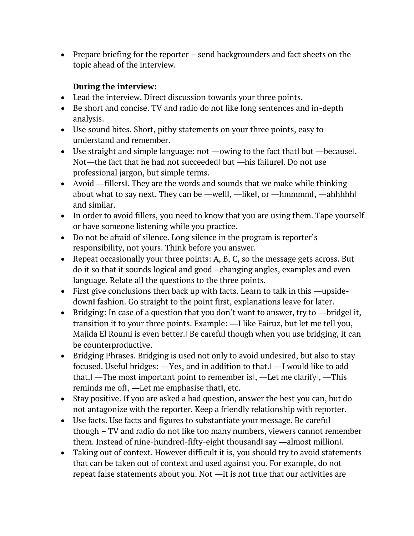• Prepare briefing for the reporter – send backgrounders and fact sheets on the topic ahead of the interview.

## **During the interview:**

- Lead the interview. Direct discussion towards your three points.
- Be short and concise. TV and radio do not like long sentences and in-depth analysis.
- Use sound bites. Short, pithy statements on your three points, easy to understand and remember.
- Use straight and simple language: not —owing to the fact that but —because. Not-the fact that he had not succeeded but -his failure l. Do not use professional jargon, but simple terms.
- Avoid —fillers l. They are the words and sounds that we make while thinking about what to say next. They can be —welll, —likel, or —hmmmml, —ahhhhhl and similar.
- In order to avoid fillers, you need to know that you are using them. Tape yourself or have someone listening while you practice.
- Do not be afraid of silence. Long silence in the program is reporter's responsibility, not yours. Think before you answer.
- Repeat occasionally your three points: A, B, C, so the message gets across. But do it so that it sounds logical and good –changing angles, examples and even language. Relate all the questions to the three points.
- First give conclusions then back up with facts. Learn to talk in this —upsidedown‖ fashion. Go straight to the point first, explanations leave for later.
- Bridging: In case of a question that you don't want to answer, try to —bridge it, transition it to your three points. Example: ―I like Fairuz, but let me tell you, Majida El Roumi is even better.‖ Be careful though when you use bridging, it can be counterproductive.
- Bridging Phrases. Bridging is used not only to avoid undesired, but also to stay focused. Useful bridges: ―Yes, and in addition to that.‖ ―I would like to add that.‖ ―The most important point to remember is‖, ―Let me clarify‖, ―This reminds me of‖, ―Let me emphasise that‖, etc.
- Stay positive. If you are asked a bad question, answer the best you can, but do not antagonize with the reporter. Keep a friendly relationship with reporter.
- Use facts. Use facts and figures to substantiate your message. Be careful though – TV and radio do not like too many numbers, viewers cannot remember them. Instead of nine-hundred-fifty-eight thousand‖ say ―almost million‖.
- Taking out of context. However difficult it is, you should try to avoid statements that can be taken out of context and used against you. For example, do not repeat false statements about you. Not ―it is not true that our activities are